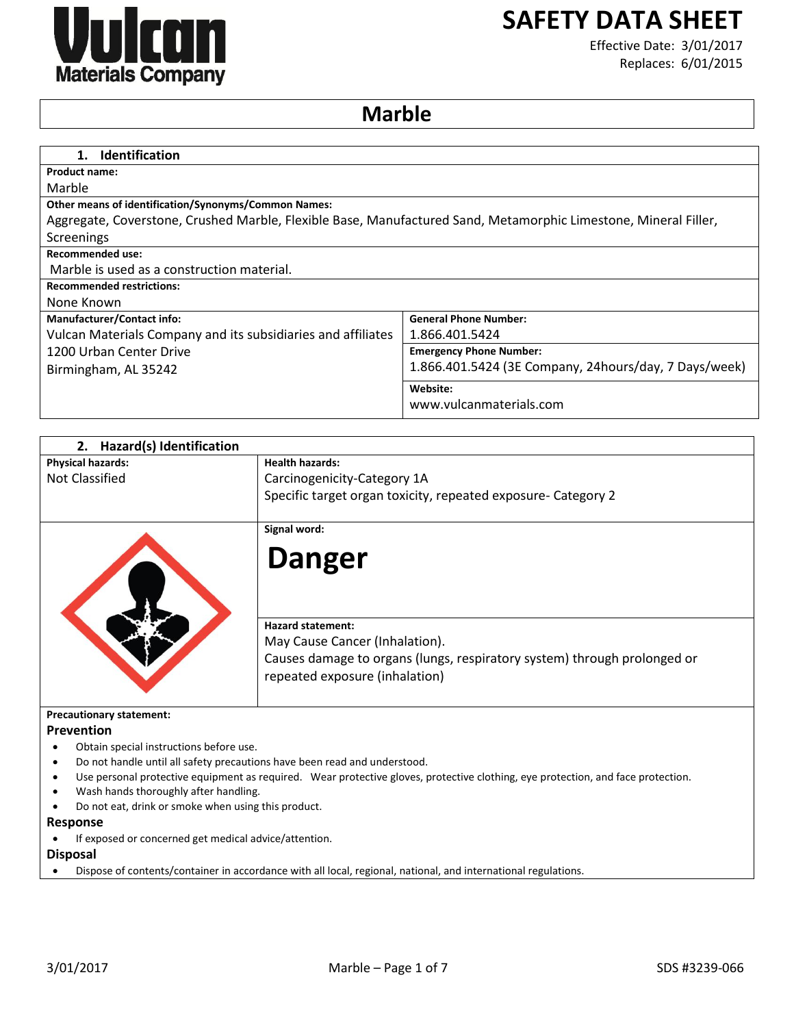

# **SAFETY DATA SHEET**

Effective Date: 3/01/2017 Replaces: 6/01/2015

## **Marble**

| <b>Identification</b><br>$1_{\cdot}$                                                                            |                                                       |
|-----------------------------------------------------------------------------------------------------------------|-------------------------------------------------------|
| <b>Product name:</b>                                                                                            |                                                       |
| Marble                                                                                                          |                                                       |
| Other means of identification/Synonyms/Common Names:                                                            |                                                       |
| Aggregate, Coverstone, Crushed Marble, Flexible Base, Manufactured Sand, Metamorphic Limestone, Mineral Filler, |                                                       |
| Screenings                                                                                                      |                                                       |
| <b>Recommended use:</b>                                                                                         |                                                       |
| Marble is used as a construction material.                                                                      |                                                       |
| <b>Recommended restrictions:</b>                                                                                |                                                       |
| None Known                                                                                                      |                                                       |
| <b>Manufacturer/Contact info:</b>                                                                               | <b>General Phone Number:</b>                          |
| Vulcan Materials Company and its subsidiaries and affiliates                                                    | 1.866.401.5424                                        |
| 1200 Urban Center Drive                                                                                         | <b>Emergency Phone Number:</b>                        |
| Birmingham, AL 35242                                                                                            | 1.866.401.5424 (3E Company, 24hours/day, 7 Days/week) |
|                                                                                                                 | Website:                                              |
|                                                                                                                 | www.vulcanmaterials.com                               |

| 2. Hazard(s) Identification                                                                                                      |                                                                                                                                                                          |  |
|----------------------------------------------------------------------------------------------------------------------------------|--------------------------------------------------------------------------------------------------------------------------------------------------------------------------|--|
| <b>Physical hazards:</b>                                                                                                         | <b>Health hazards:</b>                                                                                                                                                   |  |
| <b>Not Classified</b>                                                                                                            | Carcinogenicity-Category 1A                                                                                                                                              |  |
|                                                                                                                                  | Specific target organ toxicity, repeated exposure- Category 2                                                                                                            |  |
|                                                                                                                                  | Signal word:                                                                                                                                                             |  |
|                                                                                                                                  | <b>Danger</b>                                                                                                                                                            |  |
|                                                                                                                                  | <b>Hazard statement:</b><br>May Cause Cancer (Inhalation).<br>Causes damage to organs (lungs, respiratory system) through prolonged or<br>repeated exposure (inhalation) |  |
| <b>Precautionary statement:</b>                                                                                                  |                                                                                                                                                                          |  |
| Prevention                                                                                                                       |                                                                                                                                                                          |  |
| Obtain special instructions before use.                                                                                          |                                                                                                                                                                          |  |
| Do not handle until all safety precautions have been read and understood.                                                        |                                                                                                                                                                          |  |
| Use personal protective equipment as required. Wear protective gloves, protective clothing, eye protection, and face protection. |                                                                                                                                                                          |  |
| Wash hands thoroughly after handling.                                                                                            |                                                                                                                                                                          |  |
| Do not eat, drink or smoke when using this product.                                                                              |                                                                                                                                                                          |  |
| Response                                                                                                                         |                                                                                                                                                                          |  |

- If exposed or concerned get medical advice/attention.
- **Disposal**
- Dispose of contents/container in accordance with all local, regional, national, and international regulations.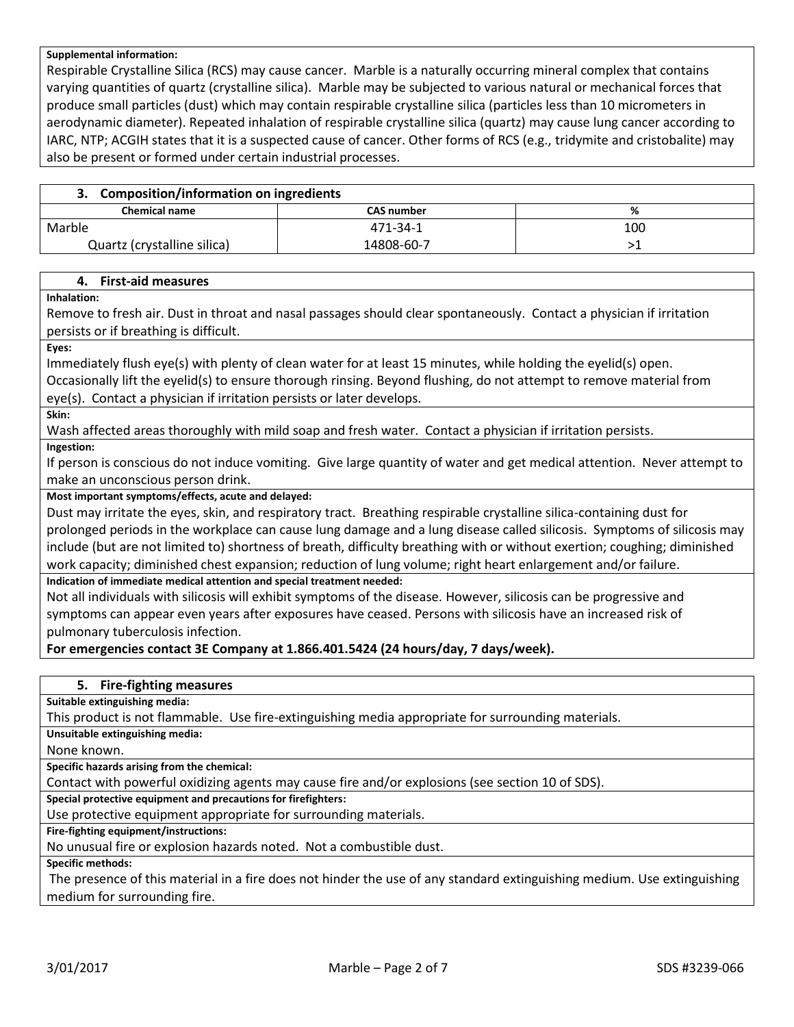#### **Supplemental information:**

Respirable Crystalline Silica (RCS) may cause cancer. Marble is a naturally occurring mineral complex that contains varying quantities of quartz (crystalline silica). Marble may be subjected to various natural or mechanical forces that produce small particles (dust) which may contain respirable crystalline silica (particles less than 10 micrometers in aerodynamic diameter). Repeated inhalation of respirable crystalline silica (quartz) may cause lung cancer according to IARC, NTP; ACGIH states that it is a suspected cause of cancer. Other forms of RCS (e.g., tridymite and cristobalite) may also be present or formed under certain industrial processes.

| 3. Composition/information on ingredients |                   |     |
|-------------------------------------------|-------------------|-----|
| <b>Chemical name</b>                      | <b>CAS number</b> | ℅   |
| Marble                                    | 471-34-1          | 100 |
| Quartz (crystalline silica)               | 14808-60-7        |     |

#### **4. First-aid measures**

#### **Inhalation:**

Remove to fresh air. Dust in throat and nasal passages should clear spontaneously. Contact a physician if irritation persists or if breathing is difficult.

**Eyes:**

Immediately flush eye(s) with plenty of clean water for at least 15 minutes, while holding the eyelid(s) open. Occasionally lift the eyelid(s) to ensure thorough rinsing. Beyond flushing, do not attempt to remove material from eye(s). Contact a physician if irritation persists or later develops.

**Skin:**

Wash affected areas thoroughly with mild soap and fresh water. Contact a physician if irritation persists.

**Ingestion:**

If person is conscious do not induce vomiting. Give large quantity of water and get medical attention. Never attempt to make an unconscious person drink.

#### **Most important symptoms/effects, acute and delayed:**

Dust may irritate the eyes, skin, and respiratory tract. Breathing respirable crystalline silica-containing dust for prolonged periods in the workplace can cause lung damage and a lung disease called silicosis. Symptoms of silicosis may include (but are not limited to) shortness of breath, difficulty breathing with or without exertion; coughing; diminished work capacity; diminished chest expansion; reduction of lung volume; right heart enlargement and/or failure.

#### **Indication of immediate medical attention and special treatment needed:**

Not all individuals with silicosis will exhibit symptoms of the disease. However, silicosis can be progressive and symptoms can appear even years after exposures have ceased. Persons with silicosis have an increased risk of pulmonary tuberculosis infection.

**For emergencies contact 3E Company at 1.866.401.5424 (24 hours/day, 7 days/week).**

## **5. Fire-fighting measures**

**Suitable extinguishing media:**

This product is not flammable. Use fire-extinguishing media appropriate for surrounding materials.

**Unsuitable extinguishing media:**

None known.

**Specific hazards arising from the chemical:**

Contact with powerful oxidizing agents may cause fire and/or explosions (see section 10 of SDS).

**Special protective equipment and precautions for firefighters:**

Use protective equipment appropriate for surrounding materials.

**Fire-fighting equipment/instructions:**

No unusual fire or explosion hazards noted. Not a combustible dust.

**Specific methods:**

The presence of this material in a fire does not hinder the use of any standard extinguishing medium. Use extinguishing medium for surrounding fire.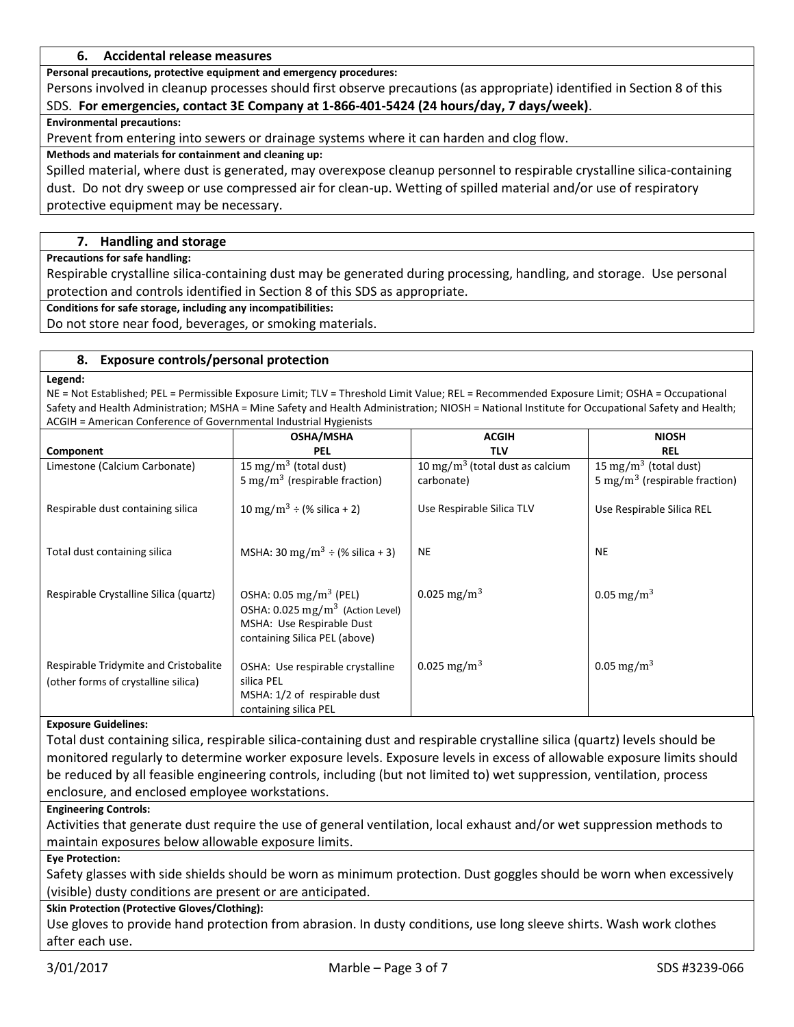## **6. Accidental release measures**

**Personal precautions, protective equipment and emergency procedures:**

Persons involved in cleanup processes should first observe precautions (as appropriate) identified in Section 8 of this SDS. **For emergencies, contact 3E Company at 1-866-401-5424 (24 hours/day, 7 days/week)**.

**Environmental precautions:**

Prevent from entering into sewers or drainage systems where it can harden and clog flow.

## **Methods and materials for containment and cleaning up:**

Spilled material, where dust is generated, may overexpose cleanup personnel to respirable crystalline silica-containing dust. Do not dry sweep or use compressed air for clean-up. Wetting of spilled material and/or use of respiratory protective equipment may be necessary.

## **7. Handling and storage**

**Precautions for safe handling:**

Respirable crystalline silica-containing dust may be generated during processing, handling, and storage. Use personal protection and controls identified in Section 8 of this SDS as appropriate.

**Conditions for safe storage, including any incompatibilities:**

Do not store near food, beverages, or smoking materials.

## **8. Exposure controls/personal protection**

**Legend:**

NE = Not Established; PEL = Permissible Exposure Limit; TLV = Threshold Limit Value; REL = Recommended Exposure Limit; OSHA = Occupational Safety and Health Administration; MSHA = Mine Safety and Health Administration; NIOSH = National Institute for Occupational Safety and Health; ACGIH = American Conference of Governmental Industrial Hygienists

|                                                                              | <b>OSHA/MSHA</b>                                                                                                                                | <b>ACGIH</b>                                | <b>NIOSH</b>                              |
|------------------------------------------------------------------------------|-------------------------------------------------------------------------------------------------------------------------------------------------|---------------------------------------------|-------------------------------------------|
| Component                                                                    | PEL                                                                                                                                             | <b>TLV</b>                                  | <b>REL</b>                                |
| Limestone (Calcium Carbonate)                                                | 15 mg/m <sup>3</sup> (total dust)                                                                                                               | 10 mg/m <sup>3</sup> (total dust as calcium | 15 mg/m <sup>3</sup> (total dust)         |
|                                                                              | 5 mg/m <sup>3</sup> (respirable fraction)                                                                                                       | carbonate)                                  | 5 mg/m <sup>3</sup> (respirable fraction) |
| Respirable dust containing silica                                            | 10 mg/m <sup>3</sup> ÷ (% silica + 2)                                                                                                           | Use Respirable Silica TLV                   | Use Respirable Silica REL                 |
| Total dust containing silica                                                 | MSHA: 30 mg/m <sup>3</sup> $\div$ (% silica + 3)                                                                                                | <b>NE</b>                                   | <b>NE</b>                                 |
| Respirable Crystalline Silica (quartz)                                       | OSHA: $0.05 \text{ mg/m}^3$ (PEL)<br>OSHA: 0.025 mg/m <sup>3</sup> (Action Level)<br>MSHA: Use Respirable Dust<br>containing Silica PEL (above) | 0.025 mg/m <sup>3</sup>                     | 0.05 mg/m <sup>3</sup>                    |
| Respirable Tridymite and Cristobalite<br>(other forms of crystalline silica) | OSHA: Use respirable crystalline<br>silica PEL<br>MSHA: 1/2 of respirable dust<br>containing silica PEL                                         | 0.025 mg/m <sup>3</sup>                     | 0.05 mg/m <sup>3</sup>                    |

#### **Exposure Guidelines:**

Total dust containing silica, respirable silica-containing dust and respirable crystalline silica (quartz) levels should be monitored regularly to determine worker exposure levels. Exposure levels in excess of allowable exposure limits should be reduced by all feasible engineering controls, including (but not limited to) wet suppression, ventilation, process enclosure, and enclosed employee workstations.

## **Engineering Controls:**

Activities that generate dust require the use of general ventilation, local exhaust and/or wet suppression methods to maintain exposures below allowable exposure limits.

## **Eye Protection:**

Safety glasses with side shields should be worn as minimum protection. Dust goggles should be worn when excessively (visible) dusty conditions are present or are anticipated.

## **Skin Protection (Protective Gloves/Clothing):**

Use gloves to provide hand protection from abrasion. In dusty conditions, use long sleeve shirts. Wash work clothes after each use.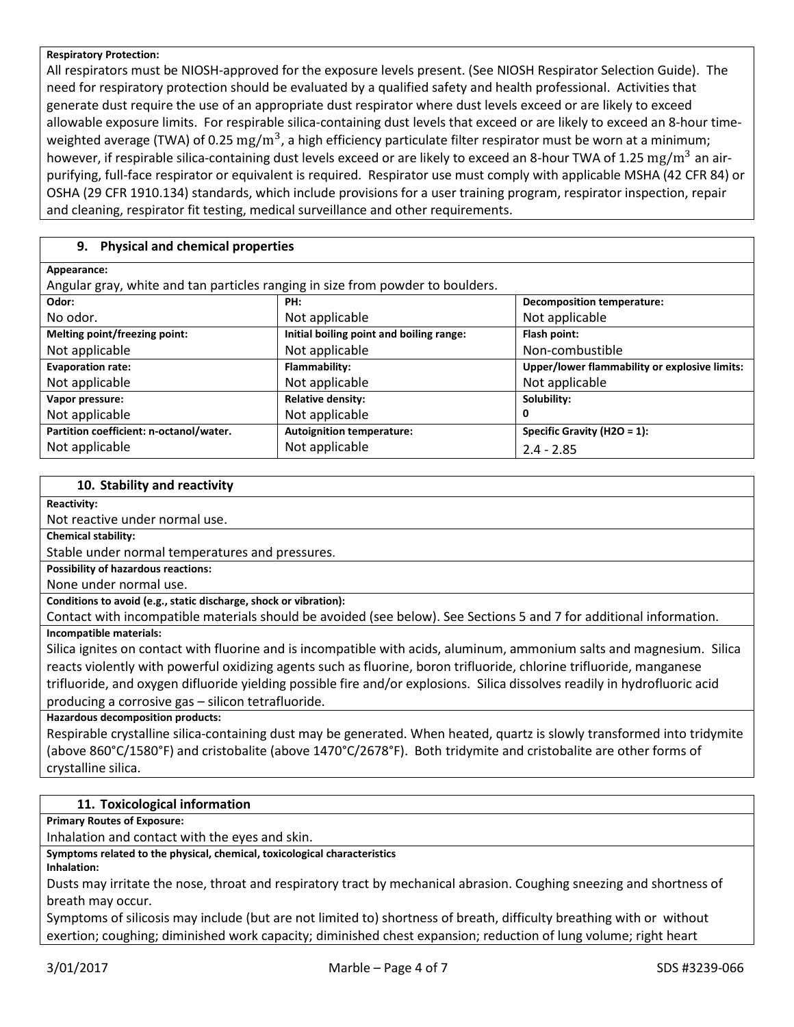#### **Respiratory Protection:**

All respirators must be NIOSH-approved for the exposure levels present. (See NIOSH Respirator Selection Guide). The need for respiratory protection should be evaluated by a qualified safety and health professional. Activities that generate dust require the use of an appropriate dust respirator where dust levels exceed or are likely to exceed allowable exposure limits. For respirable silica-containing dust levels that exceed or are likely to exceed an 8-hour timeweighted average (TWA) of 0.25  $\rm mg/m^3$ , a high efficiency particulate filter respirator must be worn at a minimum; however, if respirable silica-containing dust levels exceed or are likely to exceed an 8-hour TWA of 1.25 mg/m<sup>3</sup> an airpurifying, full-face respirator or equivalent is required. Respirator use must comply with applicable MSHA (42 CFR 84) or OSHA (29 CFR 1910.134) standards, which include provisions for a user training program, respirator inspection, repair and cleaning, respirator fit testing, medical surveillance and other requirements.

## **9. Physical and chemical properties**

| Appearance:                                                                    |                                          |                                               |  |
|--------------------------------------------------------------------------------|------------------------------------------|-----------------------------------------------|--|
| Angular gray, white and tan particles ranging in size from powder to boulders. |                                          |                                               |  |
| Odor:                                                                          | PH:                                      | <b>Decomposition temperature:</b>             |  |
| No odor.                                                                       | Not applicable                           | Not applicable                                |  |
| Melting point/freezing point:                                                  | Initial boiling point and boiling range: | Flash point:                                  |  |
| Not applicable                                                                 | Not applicable                           | Non-combustible                               |  |
| <b>Evaporation rate:</b>                                                       | Flammability:                            | Upper/lower flammability or explosive limits: |  |
| Not applicable                                                                 | Not applicable                           | Not applicable                                |  |
| Vapor pressure:                                                                | <b>Relative density:</b>                 | Solubility:                                   |  |
| Not applicable                                                                 | Not applicable                           | 0                                             |  |
| Partition coefficient: n-octanol/water.                                        | <b>Autoignition temperature:</b>         | Specific Gravity (H2O = 1):                   |  |
| Not applicable                                                                 | Not applicable                           | $2.4 - 2.85$                                  |  |

#### **10. Stability and reactivity**

#### **Reactivity:**

Not reactive under normal use.

**Chemical stability:**

Stable under normal temperatures and pressures.

**Possibility of hazardous reactions:**

None under normal use.

## **Conditions to avoid (e.g., static discharge, shock or vibration):**

Contact with incompatible materials should be avoided (see below). See Sections 5 and 7 for additional information. **Incompatible materials:**

Silica ignites on contact with fluorine and is incompatible with acids, aluminum, ammonium salts and magnesium. Silica reacts violently with powerful oxidizing agents such as fluorine, boron trifluoride, chlorine trifluoride, manganese trifluoride, and oxygen difluoride yielding possible fire and/or explosions. Silica dissolves readily in hydrofluoric acid producing a corrosive gas – silicon tetrafluoride.

**Hazardous decomposition products:**

Respirable crystalline silica-containing dust may be generated. When heated, quartz is slowly transformed into tridymite (above 860°C/1580°F) and cristobalite (above 1470°C/2678°F). Both tridymite and cristobalite are other forms of crystalline silica.

## **11. Toxicological information**

**Primary Routes of Exposure:**

Inhalation and contact with the eyes and skin.

**Symptoms related to the physical, chemical, toxicological characteristics**

**Inhalation:**

Dusts may irritate the nose, throat and respiratory tract by mechanical abrasion. Coughing sneezing and shortness of breath may occur.

Symptoms of silicosis may include (but are not limited to) shortness of breath, difficulty breathing with or without exertion; coughing; diminished work capacity; diminished chest expansion; reduction of lung volume; right heart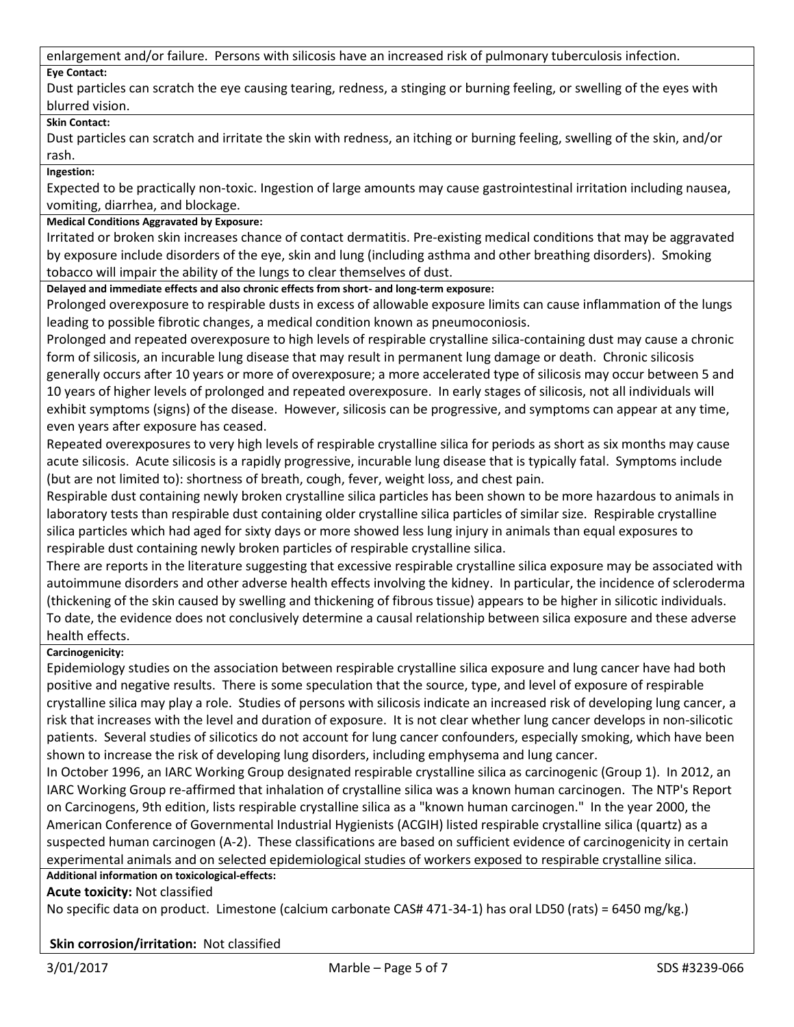enlargement and/or failure. Persons with silicosis have an increased risk of pulmonary tuberculosis infection.

## **Eye Contact:**

Dust particles can scratch the eye causing tearing, redness, a stinging or burning feeling, or swelling of the eyes with blurred vision.

## **Skin Contact:**

Dust particles can scratch and irritate the skin with redness, an itching or burning feeling, swelling of the skin, and/or rash.

**Ingestion:**

Expected to be practically non-toxic. Ingestion of large amounts may cause gastrointestinal irritation including nausea, vomiting, diarrhea, and blockage.

## **Medical Conditions Aggravated by Exposure:**

Irritated or broken skin increases chance of contact dermatitis. Pre-existing medical conditions that may be aggravated by exposure include disorders of the eye, skin and lung (including asthma and other breathing disorders). Smoking tobacco will impair the ability of the lungs to clear themselves of dust.

**Delayed and immediate effects and also chronic effects from short- and long-term exposure:**

Prolonged overexposure to respirable dusts in excess of allowable exposure limits can cause inflammation of the lungs leading to possible fibrotic changes, a medical condition known as pneumoconiosis.

Prolonged and repeated overexposure to high levels of respirable crystalline silica-containing dust may cause a chronic form of silicosis, an incurable lung disease that may result in permanent lung damage or death. Chronic silicosis generally occurs after 10 years or more of overexposure; a more accelerated type of silicosis may occur between 5 and 10 years of higher levels of prolonged and repeated overexposure. In early stages of silicosis, not all individuals will exhibit symptoms (signs) of the disease. However, silicosis can be progressive, and symptoms can appear at any time, even years after exposure has ceased.

Repeated overexposures to very high levels of respirable crystalline silica for periods as short as six months may cause acute silicosis. Acute silicosis is a rapidly progressive, incurable lung disease that is typically fatal. Symptoms include (but are not limited to): shortness of breath, cough, fever, weight loss, and chest pain.

Respirable dust containing newly broken crystalline silica particles has been shown to be more hazardous to animals in laboratory tests than respirable dust containing older crystalline silica particles of similar size. Respirable crystalline silica particles which had aged for sixty days or more showed less lung injury in animals than equal exposures to respirable dust containing newly broken particles of respirable crystalline silica.

There are reports in the literature suggesting that excessive respirable crystalline silica exposure may be associated with autoimmune disorders and other adverse health effects involving the kidney. In particular, the incidence of scleroderma (thickening of the skin caused by swelling and thickening of fibrous tissue) appears to be higher in silicotic individuals. To date, the evidence does not conclusively determine a causal relationship between silica exposure and these adverse health effects.

## **Carcinogenicity:**

Epidemiology studies on the association between respirable crystalline silica exposure and lung cancer have had both positive and negative results. There is some speculation that the source, type, and level of exposure of respirable crystalline silica may play a role. Studies of persons with silicosis indicate an increased risk of developing lung cancer, a risk that increases with the level and duration of exposure. It is not clear whether lung cancer develops in non-silicotic patients. Several studies of silicotics do not account for lung cancer confounders, especially smoking, which have been shown to increase the risk of developing lung disorders, including emphysema and lung cancer.

In October 1996, an IARC Working Group designated respirable crystalline silica as carcinogenic (Group 1). In 2012, an IARC Working Group re-affirmed that inhalation of crystalline silica was a known human carcinogen. The NTP's Report on Carcinogens, 9th edition, lists respirable crystalline silica as a "known human carcinogen." In the year 2000, the American Conference of Governmental Industrial Hygienists (ACGIH) listed respirable crystalline silica (quartz) as a suspected human carcinogen (A-2). These classifications are based on sufficient evidence of carcinogenicity in certain experimental animals and on selected epidemiological studies of workers exposed to respirable crystalline silica.

## **Additional information on toxicological-effects:**

**Acute toxicity:** Not classified

No specific data on product. Limestone (calcium carbonate CAS# 471-34-1) has oral LD50 (rats) = 6450 mg/kg.)

## **Skin corrosion/irritation:** Not classified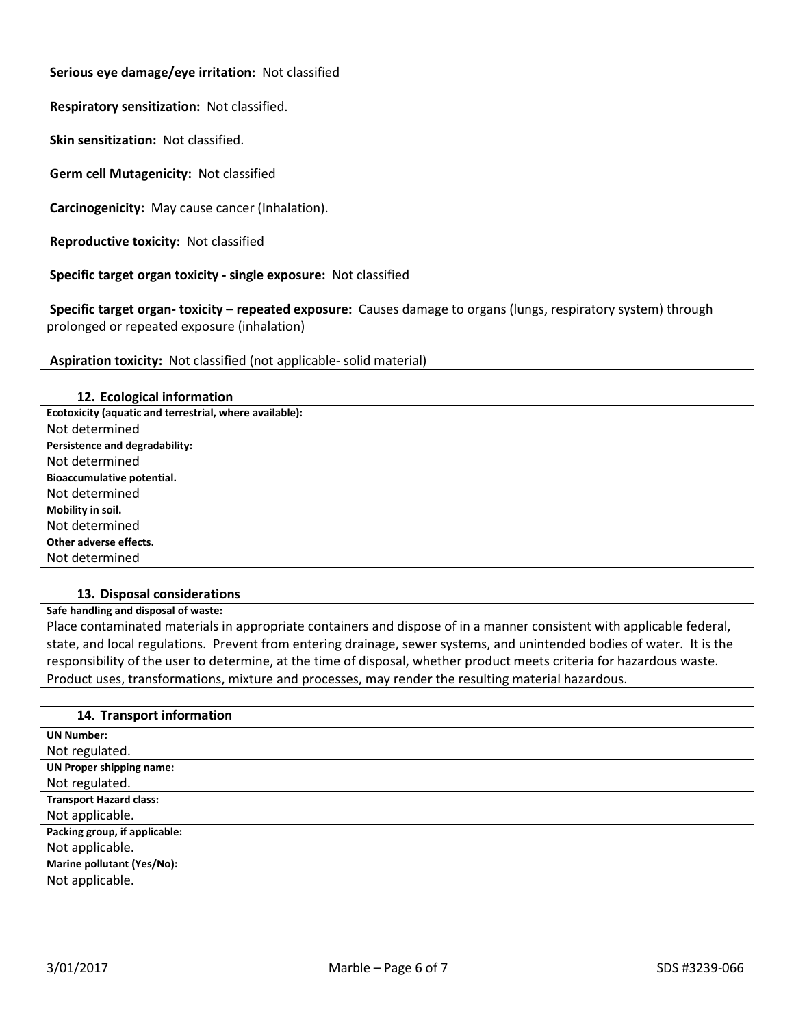**Serious eye damage/eye irritation:** Not classified

**Respiratory sensitization:** Not classified.

**Skin sensitization:** Not classified.

**Germ cell Mutagenicity:** Not classified

**Carcinogenicity:** May cause cancer (Inhalation).

**Reproductive toxicity:** Not classified

**Specific target organ toxicity - single exposure:** Not classified

**Specific target organ- toxicity – repeated exposure:** Causes damage to organs (lungs, respiratory system) through prolonged or repeated exposure (inhalation)

**Aspiration toxicity:** Not classified (not applicable- solid material)

| 12. Ecological information                              |
|---------------------------------------------------------|
| Ecotoxicity (aquatic and terrestrial, where available): |
| Not determined                                          |
| Persistence and degradability:                          |
| Not determined                                          |
| Bioaccumulative potential.                              |
| Not determined                                          |
| Mobility in soil.                                       |
| Not determined                                          |
| Other adverse effects.                                  |
| Not determined                                          |

#### **13. Disposal considerations**

**Safe handling and disposal of waste:**

Place contaminated materials in appropriate containers and dispose of in a manner consistent with applicable federal, state, and local regulations. Prevent from entering drainage, sewer systems, and unintended bodies of water. It is the responsibility of the user to determine, at the time of disposal, whether product meets criteria for hazardous waste. Product uses, transformations, mixture and processes, may render the resulting material hazardous.

#### **14. Transport information**

| <b>UN Number:</b>               |
|---------------------------------|
| Not regulated.                  |
| <b>UN Proper shipping name:</b> |
| Not regulated.                  |
| <b>Transport Hazard class:</b>  |
| Not applicable.                 |
| Packing group, if applicable:   |
| Not applicable.                 |
| Marine pollutant (Yes/No):      |
| Not applicable.                 |